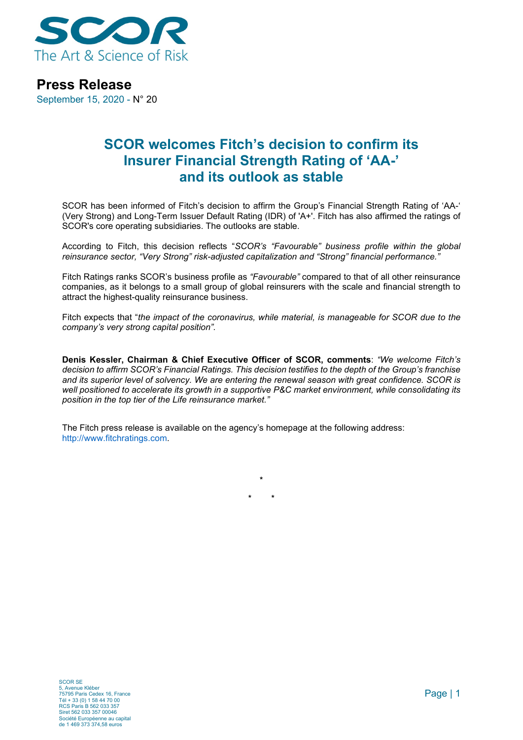

## **Press Release**

September 15, 2020 - N° 20

# **SCOR welcomes Fitch's decision to confirm its Insurer Financial Strength Rating of 'AA-' and its outlook as stable**

SCOR has been informed of Fitch's decision to affirm the Group's Financial Strength Rating of 'AA-' (Very Strong) and Long-Term Issuer Default Rating (IDR) of 'A+'. Fitch has also affirmed the ratings of SCOR's core operating subsidiaries. The outlooks are stable.

According to Fitch, this decision reflects "*SCOR's "Favourable" business profile within the global reinsurance sector, "Very Strong" risk-adjusted capitalization and "Strong" financial performance."*

Fitch Ratings ranks SCOR's business profile as *"Favourable"* compared to that of all other reinsurance companies, as it belongs to a small group of global reinsurers with the scale and financial strength to attract the highest-quality reinsurance business.

Fitch expects that "*the impact of the coronavirus, while material, is manageable for SCOR due to the company's very strong capital position".*

**Denis Kessler, Chairman & Chief Executive Officer of SCOR, comments**: *"We welcome Fitch's decision to affirm SCOR's Financial Ratings. This decision testifies to the depth of the Group's franchise and its superior level of solvency. We are entering the renewal season with great confidence. SCOR is well positioned to accelerate its growth in a supportive P&C market environment, while consolidating its position in the top tier of the Life reinsurance market."*

**\***

**\* \***

The Fitch press release is available on the agency's homepage at the following address: http://www.fitchratings.com.